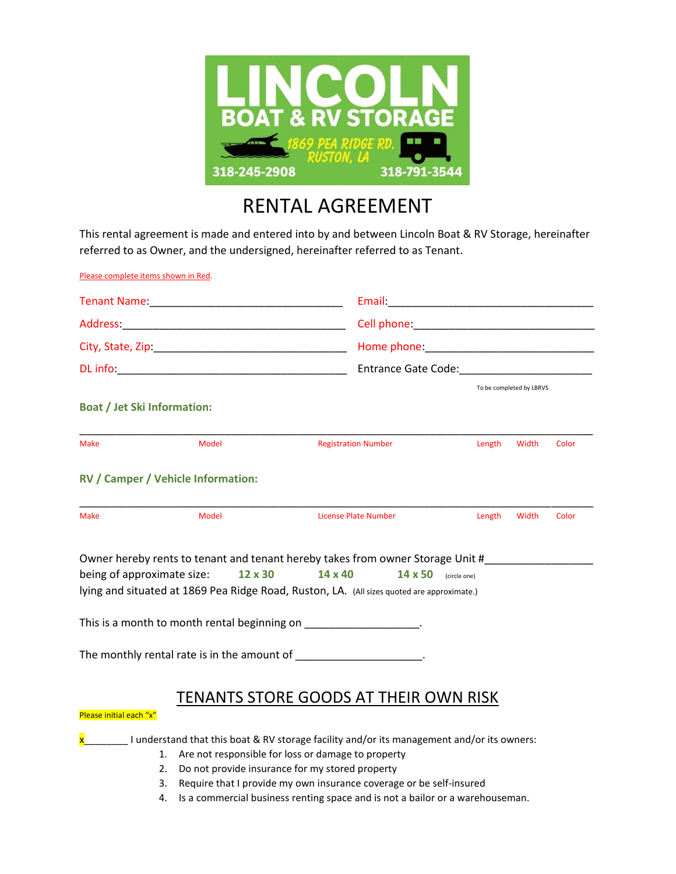

## RENTAL AGREEMENT

This rental agreement is made and entered into by and between Lincoln Boat & RV Storage, hereinafter referred to as Owner, and the undersigned, hereinafter referred to as Tenant.

| Please complete items shown in Red.                                                                                                                                              |                                                                                                                                                                                                                                                                                                                                                             |                                                                                                                                                                                                                                                                                                                                                                                                                                                                        |                          |       |  |
|----------------------------------------------------------------------------------------------------------------------------------------------------------------------------------|-------------------------------------------------------------------------------------------------------------------------------------------------------------------------------------------------------------------------------------------------------------------------------------------------------------------------------------------------------------|------------------------------------------------------------------------------------------------------------------------------------------------------------------------------------------------------------------------------------------------------------------------------------------------------------------------------------------------------------------------------------------------------------------------------------------------------------------------|--------------------------|-------|--|
|                                                                                                                                                                                  |                                                                                                                                                                                                                                                                                                                                                             | Cell phone: <u>and the same and the same and the same and the same and the same and the same of the same of the same of the same of the same of the same of the same of the same of the same of the same of the same of the same</u><br>Home phone: The contract of the contract of the contract of the contract of the contract of the contract of the contract of the contract of the contract of the contract of the contract of the contract of the contract of th |                          |       |  |
|                                                                                                                                                                                  |                                                                                                                                                                                                                                                                                                                                                             |                                                                                                                                                                                                                                                                                                                                                                                                                                                                        |                          |       |  |
|                                                                                                                                                                                  |                                                                                                                                                                                                                                                                                                                                                             |                                                                                                                                                                                                                                                                                                                                                                                                                                                                        |                          |       |  |
|                                                                                                                                                                                  | Entrance Gate Code: National Action of the Code:                                                                                                                                                                                                                                                                                                            |                                                                                                                                                                                                                                                                                                                                                                                                                                                                        |                          |       |  |
| <b>Boat / Jet Ski Information:</b>                                                                                                                                               |                                                                                                                                                                                                                                                                                                                                                             |                                                                                                                                                                                                                                                                                                                                                                                                                                                                        | To be completed by LBRVS |       |  |
| <b>Model</b><br><b>Make</b>                                                                                                                                                      | <b>Registration Number</b>                                                                                                                                                                                                                                                                                                                                  | Length                                                                                                                                                                                                                                                                                                                                                                                                                                                                 | Width                    | Color |  |
| RV / Camper / Vehicle Information:                                                                                                                                               |                                                                                                                                                                                                                                                                                                                                                             |                                                                                                                                                                                                                                                                                                                                                                                                                                                                        |                          |       |  |
| <b>Model</b><br><b>Make</b>                                                                                                                                                      | License Plate Number                                                                                                                                                                                                                                                                                                                                        | Length                                                                                                                                                                                                                                                                                                                                                                                                                                                                 | Width                    | Color |  |
| being of approximate size:<br>12 x 30<br>This is a month to month rental beginning on ____________________.<br>The monthly rental rate is in the amount of ____________________. | Owner hereby rents to tenant and tenant hereby takes from owner Storage Unit #_________<br>14 x 40<br>14 x 50<br>lying and situated at 1869 Pea Ridge Road, Ruston, LA. (All sizes quoted are approximate.)                                                                                                                                                 | (circle one)                                                                                                                                                                                                                                                                                                                                                                                                                                                           |                          |       |  |
| Please initial each "x"                                                                                                                                                          | TENANTS STORE GOODS AT THEIR OWN RISK                                                                                                                                                                                                                                                                                                                       |                                                                                                                                                                                                                                                                                                                                                                                                                                                                        |                          |       |  |
| $\overline{\mathbf{x}}$<br>1.<br>2.<br>3.<br>4.                                                                                                                                  | I understand that this boat & RV storage facility and/or its management and/or its owners:<br>Are not responsible for loss or damage to property<br>Do not provide insurance for my stored property<br>Require that I provide my own insurance coverage or be self-insured<br>Is a commercial business renting space and is not a bailor or a warehouseman. |                                                                                                                                                                                                                                                                                                                                                                                                                                                                        |                          |       |  |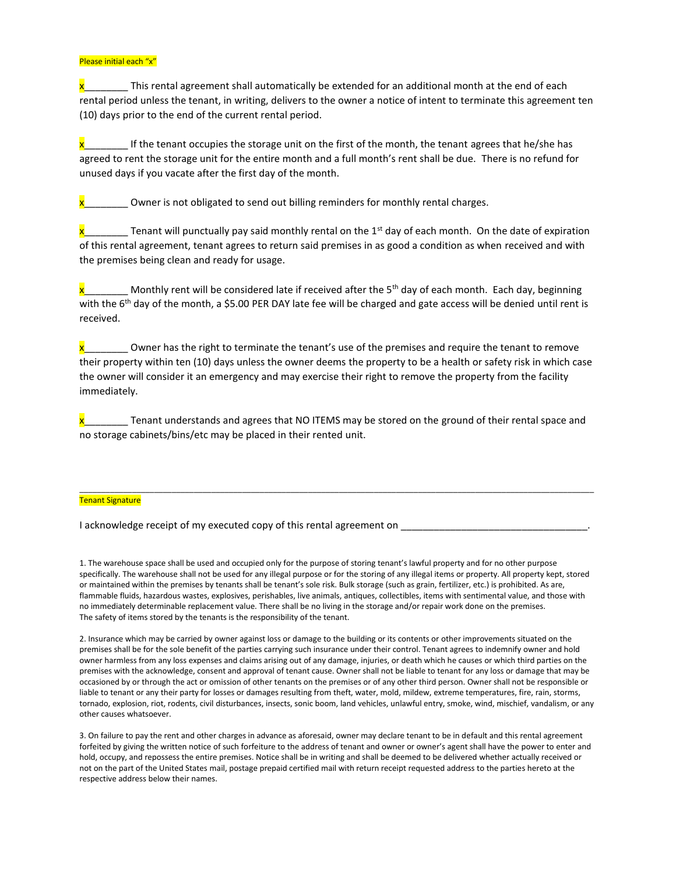## Please initial each "x"

 $x$  This rental agreement shall automatically be extended for an additional month at the end of each rental period unless the tenant, in writing, delivers to the owner a notice of intent to terminate this agreement ten (10) days prior to the end of the current rental period.

x If the tenant occupies the storage unit on the first of the month, the tenant agrees that he/she has agreed to rent the storage unit for the entire month and a full month's rent shall be due. There is no refund for unused days if you vacate after the first day of the month.

**x** Owner is not obligated to send out billing reminders for monthly rental charges.

 $x_1$  renant will punctually pay said monthly rental on the 1st day of each month. On the date of expiration of this rental agreement, tenant agrees to return said premises in as good a condition as when received and with the premises being clean and ready for usage.

Monthly rent will be considered late if received after the  $5<sup>th</sup>$  day of each month. Each day, beginning with the 6<sup>th</sup> day of the month, a \$5.00 PER DAY late fee will be charged and gate access will be denied until rent is received.

x beta Owner has the right to terminate the tenant's use of the premises and require the tenant to remove their property within ten (10) days unless the owner deems the property to be a health or safety risk in which case the owner will consider it an emergency and may exercise their right to remove the property from the facility immediately.

x Tenant understands and agrees that NO ITEMS may be stored on the ground of their rental space and no storage cabinets/bins/etc may be placed in their rented unit.

\_\_\_\_\_\_\_\_\_\_\_\_\_\_\_\_\_\_\_\_\_\_\_\_\_\_\_\_\_\_\_\_\_\_\_\_\_\_\_\_\_\_\_\_\_\_\_\_\_\_\_\_\_\_\_\_\_\_\_\_\_\_\_\_\_\_\_\_\_\_\_\_\_\_\_\_\_\_\_\_\_\_\_\_\_\_\_\_\_\_\_\_\_\_\_\_\_\_\_\_\_\_\_\_\_\_\_\_\_\_\_\_\_\_\_\_\_

## Tenant Signature

I acknowledge receipt of my executed copy of this rental agreement on \_\_\_\_

1. The warehouse space shall be used and occupied only for the purpose of storing tenant's lawful property and for no other purpose specifically. The warehouse shall not be used for any illegal purpose or for the storing of any illegal items or property. All property kept, stored or maintained within the premises by tenants shall be tenant's sole risk. Bulk storage (such as grain, fertilizer, etc.) is prohibited. As are, flammable fluids, hazardous wastes, explosives, perishables, live animals, antiques, collectibles, items with sentimental value, and those with no immediately determinable replacement value. There shall be no living in the storage and/or repair work done on the premises. The safety of items stored by the tenants is the responsibility of the tenant.

2. Insurance which may be carried by owner against loss or damage to the building or its contents or other improvements situated on the premises shall be for the sole benefit of the parties carrying such insurance under their control. Tenant agrees to indemnify owner and hold owner harmless from any loss expenses and claims arising out of any damage, injuries, or death which he causes or which third parties on the premises with the acknowledge, consent and approval of tenant cause. Owner shall not be liable to tenant for any loss or damage that may be occasioned by or through the act or omission of other tenants on the premises or of any other third person. Owner shall not be responsible or liable to tenant or any their party for losses or damages resulting from theft, water, mold, mildew, extreme temperatures, fire, rain, storms, tornado, explosion, riot, rodents, civil disturbances, insects, sonic boom, land vehicles, unlawful entry, smoke, wind, mischief, vandalism, or any other causes whatsoever.

3. On failure to pay the rent and other charges in advance as aforesaid, owner may declare tenant to be in default and this rental agreement forfeited by giving the written notice of such forfeiture to the address of tenant and owner or owner's agent shall have the power to enter and hold, occupy, and repossess the entire premises. Notice shall be in writing and shall be deemed to be delivered whether actually received or not on the part of the United States mail, postage prepaid certified mail with return receipt requested address to the parties hereto at the respective address below their names.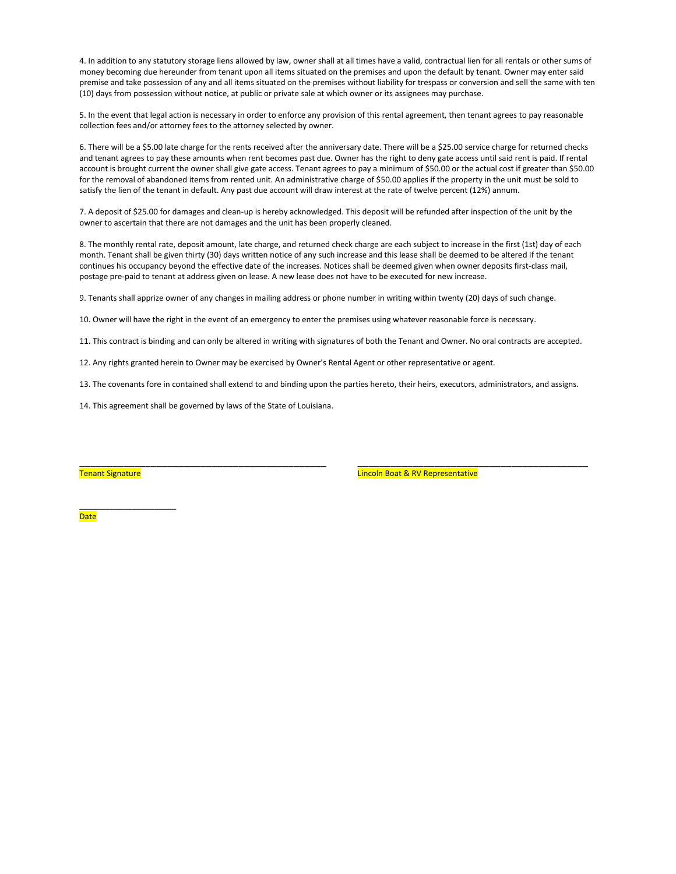4. In addition to any statutory storage liens allowed by law, owner shall at all times have a valid, contractual lien for all rentals or other sums of money becoming due hereunder from tenant upon all items situated on the premises and upon the default by tenant. Owner may enter said premise and take possession of any and all items situated on the premises without liability for trespass or conversion and sell the same with ten (10) days from possession without notice, at public or private sale at which owner or its assignees may purchase.

5. In the event that legal action is necessary in order to enforce any provision of this rental agreement, then tenant agrees to pay reasonable collection fees and/or attorney fees to the attorney selected by owner.

6. There will be a \$5.00 late charge for the rents received after the anniversary date. There will be a \$25.00 service charge for returned checks and tenant agrees to pay these amounts when rent becomes past due. Owner has the right to deny gate access until said rent is paid. If rental account is brought current the owner shall give gate access. Tenant agrees to pay a minimum of \$50.00 or the actual cost if greater than \$50.00 for the removal of abandoned items from rented unit. An administrative charge of \$50.00 applies if the property in the unit must be sold to satisfy the lien of the tenant in default. Any past due account will draw interest at the rate of twelve percent (12%) annum.

7. A deposit of \$25.00 for damages and clean-up is hereby acknowledged. This deposit will be refunded after inspection of the unit by the owner to ascertain that there are not damages and the unit has been properly cleaned.

8. The monthly rental rate, deposit amount, late charge, and returned check charge are each subject to increase in the first (1st) day of each month. Tenant shall be given thirty (30) days written notice of any such increase and this lease shall be deemed to be altered if the tenant continues his occupancy beyond the effective date of the increases. Notices shall be deemed given when owner deposits first-class mail, postage pre-paid to tenant at address given on lease. A new lease does not have to be executed for new increase.

9. Tenants shall apprize owner of any changes in mailing address or phone number in writing within twenty (20) days of such change.

10. Owner will have the right in the event of an emergency to enter the premises using whatever reasonable force is necessary.

11. This contract is binding and can only be altered in writing with signatures of both the Tenant and Owner. No oral contracts are accepted.

12. Any rights granted herein to Owner may be exercised by Owner's Rental Agent or other representative or agent.

13. The covenants fore in contained shall extend to and binding upon the parties hereto, their heirs, executors, administrators, and assigns.

\_\_\_\_\_\_\_\_\_\_\_\_\_\_\_\_\_\_\_\_\_\_\_\_\_\_\_\_\_\_\_\_\_\_\_\_\_\_\_\_\_\_\_\_\_ \_\_\_\_\_\_\_\_\_\_\_\_\_\_\_\_\_\_\_\_\_\_\_\_\_\_\_\_\_\_\_\_\_\_\_\_\_\_\_\_\_\_

14. This agreement shall be governed by laws of the State of Louisiana.

\_\_\_\_\_\_\_\_\_\_\_\_\_\_\_\_\_\_\_\_\_\_

Tenant Signature Lincoln Boat & RV Representative

**Date**